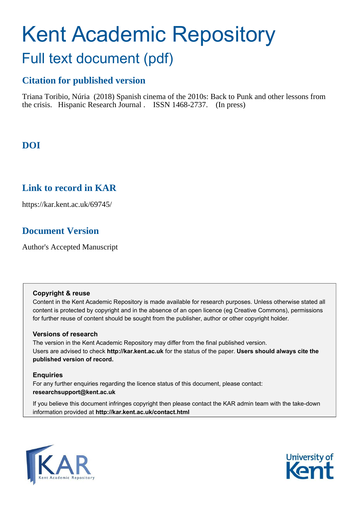# Kent Academic Repository Full text document (pdf)

# **Citation for published version**

Triana Toribio, Núria (2018) Spanish cinema of the 2010s: Back to Punk and other lessons from the crisis. Hispanic Research Journal . ISSN 1468-2737. (In press)

# **DOI**

# **Link to record in KAR**

https://kar.kent.ac.uk/69745/

# **Document Version**

Author's Accepted Manuscript

## **Copyright & reuse**

Content in the Kent Academic Repository is made available for research purposes. Unless otherwise stated all content is protected by copyright and in the absence of an open licence (eg Creative Commons), permissions for further reuse of content should be sought from the publisher, author or other copyright holder.

## **Versions of research**

The version in the Kent Academic Repository may differ from the final published version. Users are advised to check **http://kar.kent.ac.uk** for the status of the paper. **Users should always cite the published version of record.**

## **Enquiries**

For any further enquiries regarding the licence status of this document, please contact: **researchsupport@kent.ac.uk**

If you believe this document infringes copyright then please contact the KAR admin team with the take-down information provided at **http://kar.kent.ac.uk/contact.html**



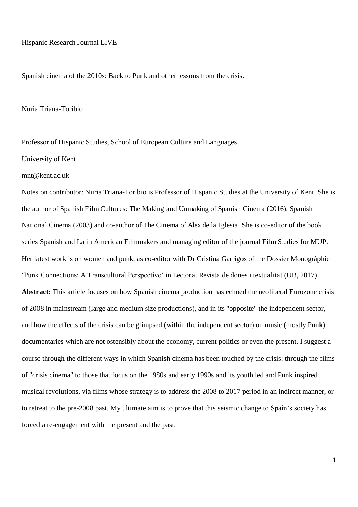#### Hispanic Research Journal LIVE

Spanish cinema of the 2010s: Back to Punk and other lessons from the crisis.

### Nuria Triana-Toribio

Professor of Hispanic Studies, School of European Culture and Languages,

#### University of Kent

### mnt@kent.ac.uk

Notes on contributor: Nuria Triana-Toribio is Professor of Hispanic Studies at the University of Kent. She is the author of Spanish Film Cultures: The Making and Unmaking of Spanish Cinema (2016), Spanish National Cinema (2003) and co-author of The Cinema of Alex de la Iglesia. She is co-editor of the book series Spanish and Latin American Filmmakers and managing editor of the journal Film Studies for MUP. Her latest work is on women and punk, as co-editor with Dr Cristina Garrigos of the Dossier Monogràphic 'Punk Connections: A Transcultural Perspective' in Lectora. Revista de dones i textualitat (UB, 2017). **Abstract:** This article focuses on how Spanish cinema production has echoed the neoliberal Eurozone crisis of 2008 in mainstream (large and medium size productions), and in its "opposite" the independent sector, and how the effects of the crisis can be glimpsed (within the independent sector) on music (mostly Punk) documentaries which are not ostensibly about the economy, current politics or even the present. I suggest a course through the different ways in which Spanish cinema has been touched by the crisis: through the films of "crisis cinema" to those that focus on the 1980s and early 1990s and its youth led and Punk inspired musical revolutions, via films whose strategy is to address the 2008 to 2017 period in an indirect manner, or to retreat to the pre-2008 past. My ultimate aim is to prove that this seismic change to Spain's society has forced a re-engagement with the present and the past.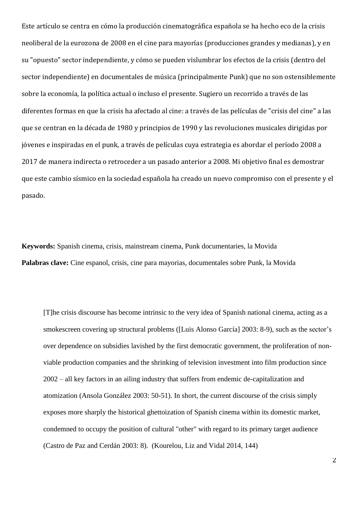Este artículo se centra en cómo la producción cinematográfica española se ha hecho eco de la crisis neoliberal de la eurozona de 2008 en el cine para mayorías (producciones grandes y medianas), y en su "opuesto" sector independiente, y cómo se pueden vislumbrar los efectos de la crisis (dentro del sector independiente) en documentales de música (principalmente Punk) que no son ostensiblemente sobre la economía, la política actual o incluso el presente. Sugiero un recorrido a través de las diferentes formas en que la crisis ha afectado al cine: a través de las películas de "crisis del cine" a las que se centran en la dÈcada de 1980 y principios de 1990 y las revoluciones musicales dirigidas por jóvenes e inspiradas en el punk, a través de películas cuya estrategia es abordar el período 2008 a 2017 de manera indirecta o retroceder a un pasado anterior a 2008. Mi objetivo final es demostrar que este cambio sísmico en la sociedad española ha creado un nuevo compromiso con el presente y el pasado.

**Keywords:** Spanish cinema, crisis, mainstream cinema, Punk documentaries, la Movida **Palabras clave:** Cine espanol, crisis, cine para mayorias, documentales sobre Punk, la Movida

[T]he crisis discourse has become intrinsic to the very idea of Spanish national cinema, acting as a smokescreen covering up structural problems ([Luis Alonso García] 2003: 8-9), such as the sector's over dependence on subsidies lavished by the first democratic government, the proliferation of nonviable production companies and the shrinking of television investment into film production since 2002 – all key factors in an ailing industry that suffers from endemic de-capitalization and atomization (Ansola González 2003: 50-51). In short, the current discourse of the crisis simply exposes more sharply the historical ghettoization of Spanish cinema within its domestic market, condemned to occupy the position of cultural "other" with regard to its primary target audience (Castro de Paz and Cerdán 2003: 8). (Kourelou, Liz and Vidal 2014, 144)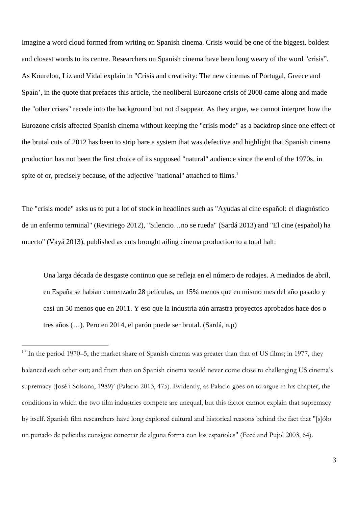Imagine a word cloud formed from writing on Spanish cinema. Crisis would be one of the biggest, boldest and closest words to its centre. Researchers on Spanish cinema have been long weary of the word "crisis". As Kourelou, Liz and Vidal explain in "Crisis and creativity: The new cinemas of Portugal, Greece and Spain', in the quote that prefaces this article, the neoliberal Eurozone crisis of 2008 came along and made the "other crises" recede into the background but not disappear. As they argue, we cannot interpret how the Eurozone crisis affected Spanish cinema without keeping the "crisis mode" as a backdrop since one effect of the brutal cuts of 2012 has been to strip bare a system that was defective and highlight that Spanish cinema production has not been the first choice of its supposed "natural" audience since the end of the 1970s, in spite of or, precisely because, of the adjective "national" attached to films.<sup>1</sup>

The "crisis mode" asks us to put a lot of stock in headlines such as "Ayudas al cine español: el diagnóstico de un enfermo terminal" (Reviriego 2012), "Silencio…no se rueda" (Sardá 2013) and "El cine (español) ha muerto" (Vayá 2013), published as cuts brought ailing cinema production to a total halt.

Una larga década de desgaste continuo que se refleja en el número de rodajes. A mediados de abril, en España se habían comenzado 28 películas, un 15% menos que en mismo mes del año pasado y casi un 50 menos que en 2011. Y eso que la industria aún arrastra proyectos aprobados hace dos o tres años (…). Pero en 2014, el parón puede ser brutal. (Sardá, n.p)

<sup>&</sup>lt;sup>1</sup> "In the period 1970–5, the market share of Spanish cinema was greater than that of US films; in 1977, they balanced each other out; and from then on Spanish cinema would never come close to challenging US cinema's supremacy (José i Solsona, 1989)' (Palacio 2013, 475). Evidently, as Palacio goes on to argue in his chapter, the conditions in which the two film industries compete are unequal, but this factor cannot explain that supremacy by itself. Spanish film researchers have long explored cultural and historical reasons behind the fact that "[s]ôlo un puñado de películas consigue conectar de alguna forma con los españoles" (Fecé and Pujol 2003, 64).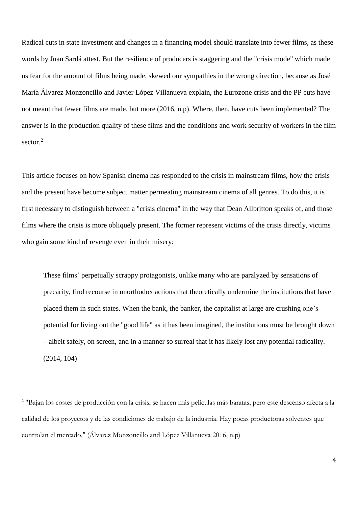Radical cuts in state investment and changes in a financing model should translate into fewer films, as these words by Juan Sardá attest. But the resilience of producers is staggering and the "crisis mode" which made us fear for the amount of films being made, skewed our sympathies in the wrong direction, because as José María Álvarez Monzoncillo and Javier López Villanueva explain, the Eurozone crisis and the PP cuts have not meant that fewer films are made, but more (2016, n.p). Where, then, have cuts been implemented? The answer is in the production quality of these films and the conditions and work security of workers in the film sector. $2$ 

This article focuses on how Spanish cinema has responded to the crisis in mainstream films, how the crisis and the present have become subject matter permeating mainstream cinema of all genres. To do this, it is first necessary to distinguish between a "crisis cinema" in the way that Dean Allbritton speaks of, and those films where the crisis is more obliquely present. The former represent victims of the crisis directly, victims who gain some kind of revenge even in their misery:

These films' perpetually scrappy protagonists, unlike many who are paralyzed by sensations of precarity, find recourse in unorthodox actions that theoretically undermine the institutions that have placed them in such states. When the bank, the banker, the capitalist at large are crushing one's potential for living out the "good life" as it has been imagined, the institutions must be brought down – albeit safely, on screen, and in a manner so surreal that it has likely lost any potential radicality. (2014, 104)

 $^2$  "Bajan los costes de producción con la crisis, se hacen más películas más baratas, pero este descenso afecta a la calidad de los proyectos y de las condiciones de trabajo de la industria. Hay pocas productoras solventes que controlan el mercado." (Álvarez Monzoncillo and López Villanueva 2016, n.p)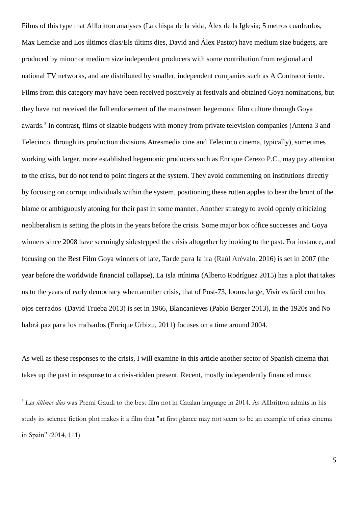Films of this type that Allbritton analyses (La chispa de la vida, Álex de la Iglesia; 5 metros cuadrados, Max Lemcke and Los últimos días/Els últims dies, David and Álex Pastor) have medium size budgets, are produced by minor or medium size independent producers with some contribution from regional and national TV networks, and are distributed by smaller, independent companies such as A Contracorriente. Films from this category may have been received positively at festivals and obtained Goya nominations, but they have not received the full endorsement of the mainstream hegemonic film culture through Goya awards.<sup>3</sup> In contrast, films of sizable budgets with money from private television companies (Antena 3 and Telecinco, through its production divisions Atresmedia cine and Telecinco cinema, typically), sometimes working with larger, more established hegemonic producers such as Enrique Cerezo P.C., may pay attention to the crisis, but do not tend to point fingers at the system. They avoid commenting on institutions directly by focusing on corrupt individuals within the system, positioning these rotten apples to bear the brunt of the blame or ambiguously atoning for their past in some manner. Another strategy to avoid openly criticizing neoliberalism is setting the plots in the years before the crisis. Some major box office successes and Goya winners since 2008 have seemingly sidestepped the crisis altogether by looking to the past. For instance, and focusing on the Best Film Goya winners of late, Tarde para la ira (Raúl Arévalo, 2016) is set in 2007 (the year before the worldwide financial collapse), La isla mínima (Alberto Rodríguez 2015) has a plot that takes us to the years of early democracy when another crisis, that of Post-73, looms large, Vivir es fácil con los ojos cerrados (David Trueba 2013) is set in 1966, Blancanieves (Pablo Berger 2013), in the 1920s and No habrá paz para los malvados (Enrique Urbizu, 2011) focuses on a time around 2004.

As well as these responses to the crisis, I will examine in this article another sector of Spanish cinema that takes up the past in response to a crisis-ridden present. Recent, mostly independently financed music

<sup>&</sup>lt;sup>3</sup> Los últimos días was Premi Gaudi to the best film not in Catalan language in 2014. As Allbritton admits in his study its science fiction plot makes it a film that "at first glance may not seem to be an example of crisis cinema in Spain" (2014, 111)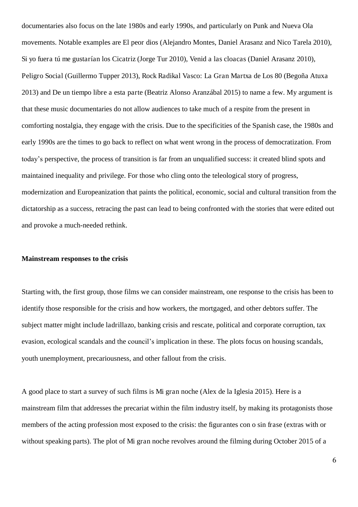documentaries also focus on the late 1980s and early 1990s, and particularly on Punk and Nueva Ola movements. Notable examples are El peor dios (Alejandro Montes, Daniel Arasanz and Nico Tarela 2010), Si yo fuera tú me gustarían los Cicatriz (Jorge Tur 2010), Venid a las cloacas (Daniel Arasanz 2010), Peligro Social (Guillermo Tupper 2013), Rock Radikal Vasco: La Gran Martxa de Los 80 (Begoña Atuxa 2013) and De un tiempo libre a esta parte (Beatriz Alonso Aranzábal 2015) to name a few. My argument is that these music documentaries do not allow audiences to take much of a respite from the present in comforting nostalgia, they engage with the crisis. Due to the specificities of the Spanish case, the 1980s and early 1990s are the times to go back to reflect on what went wrong in the process of democratization. From today's perspective, the process of transition is far from an unqualified success: it created blind spots and maintained inequality and privilege. For those who cling onto the teleological story of progress, modernization and Europeanization that paints the political, economic, social and cultural transition from the dictatorship as a success, retracing the past can lead to being confronted with the stories that were edited out and provoke a much-needed rethink.

#### **Mainstream responses to the crisis**

Starting with, the first group, those films we can consider mainstream, one response to the crisis has been to identify those responsible for the crisis and how workers, the mortgaged, and other debtors suffer. The subject matter might include ladrillazo, banking crisis and rescate, political and corporate corruption, tax evasion, ecological scandals and the council's implication in these. The plots focus on housing scandals, youth unemployment, precariousness, and other fallout from the crisis.

A good place to start a survey of such films is Mi gran noche (Alex de la Iglesia 2015). Here is a mainstream film that addresses the precariat within the film industry itself, by making its protagonists those members of the acting profession most exposed to the crisis: the figurantes con o sin frase (extras with or without speaking parts). The plot of Mi gran noche revolves around the filming during October 2015 of a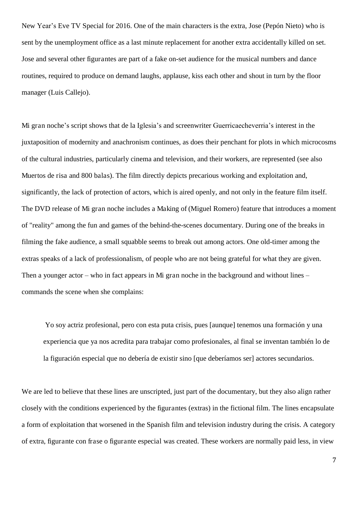New Year's Eve TV Special for 2016. One of the main characters is the extra, Jose (Pepón Nieto) who is sent by the unemployment office as a last minute replacement for another extra accidentally killed on set. Jose and several other figurantes are part of a fake on-set audience for the musical numbers and dance routines, required to produce on demand laughs, applause, kiss each other and shout in turn by the floor manager (Luis Callejo).

Mi gran noche's script shows that de la Iglesia's and screenwriter Guerricaecheverria's interest in the juxtaposition of modernity and anachronism continues, as does their penchant for plots in which microcosms of the cultural industries, particularly cinema and television, and their workers, are represented (see also Muertos de risa and 800 balas). The film directly depicts precarious working and exploitation and, significantly, the lack of protection of actors, which is aired openly, and not only in the feature film itself. The DVD release of Mi gran noche includes a Making of (Miguel Romero) feature that introduces a moment of "reality" among the fun and games of the behind-the-scenes documentary. During one of the breaks in filming the fake audience, a small squabble seems to break out among actors. One old-timer among the extras speaks of a lack of professionalism, of people who are not being grateful for what they are given. Then a younger actor – who in fact appears in Mi gran noche in the background and without lines – commands the scene when she complains:

Yo soy actriz profesional, pero con esta puta crisis, pues [aunque] tenemos una formación y una experiencia que ya nos acredita para trabajar como profesionales, al final se inventan también lo de la figuración especial que no debería de existir sino [que deberíamos ser] actores secundarios.

We are led to believe that these lines are unscripted, just part of the documentary, but they also align rather closely with the conditions experienced by the figurantes (extras) in the fictional film. The lines encapsulate a form of exploitation that worsened in the Spanish film and television industry during the crisis. A category of extra, figurante con frase o figurante especial was created. These workers are normally paid less, in view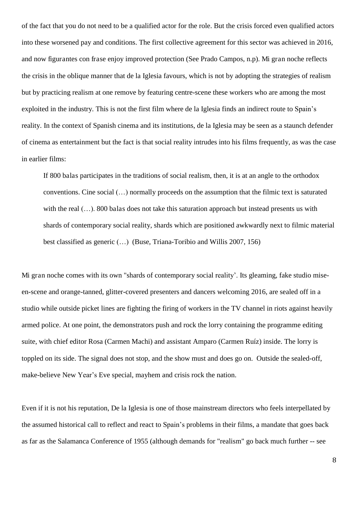of the fact that you do not need to be a qualified actor for the role. But the crisis forced even qualified actors into these worsened pay and conditions. The first collective agreement for this sector was achieved in 2016, and now figurantes con frase enjoy improved protection (See Prado Campos, n.p). Mi gran noche reflects the crisis in the oblique manner that de la Iglesia favours, which is not by adopting the strategies of realism but by practicing realism at one remove by featuring centre-scene these workers who are among the most exploited in the industry. This is not the first film where de la Iglesia finds an indirect route to Spain's reality. In the context of Spanish cinema and its institutions, de la Iglesia may be seen as a staunch defender of cinema as entertainment but the fact is that social reality intrudes into his films frequently, as was the case in earlier films:

If 800 balas participates in the traditions of social realism, then, it is at an angle to the orthodox conventions. Cine social (…) normally proceeds on the assumption that the filmic text is saturated with the real  $(...)$ . 800 balas does not take this saturation approach but instead presents us with shards of contemporary social reality, shards which are positioned awkwardly next to filmic material best classified as generic (…) (Buse, Triana-Toribio and Willis 2007, 156)

Mi gran noche comes with its own "shards of contemporary social reality'. Its gleaming, fake studio miseen-scene and orange-tanned, glitter-covered presenters and dancers welcoming 2016, are sealed off in a studio while outside picket lines are fighting the firing of workers in the TV channel in riots against heavily armed police. At one point, the demonstrators push and rock the lorry containing the programme editing suite, with chief editor Rosa (Carmen Machi) and assistant Amparo (Carmen Ruíz) inside. The lorry is toppled on its side. The signal does not stop, and the show must and does go on. Outside the sealed-off, make-believe New Year's Eve special, mayhem and crisis rock the nation.

Even if it is not his reputation, De la Iglesia is one of those mainstream directors who feels interpellated by the assumed historical call to reflect and react to Spain's problems in their films, a mandate that goes back as far as the Salamanca Conference of 1955 (although demands for "realism" go back much further -- see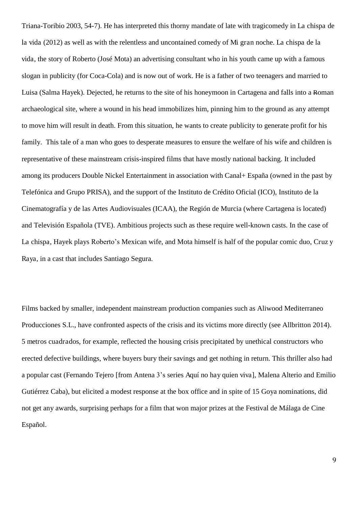Triana-Toribio 2003, 54-7). He has interpreted this thorny mandate of late with tragicomedy in La chispa de la vida (2012) as well as with the relentless and uncontained comedy of Mi gran noche. La chispa de la vida, the story of Roberto (José Mota) an advertising consultant who in his youth came up with a famous slogan in publicity (for Coca-Cola) and is now out of work. He is a father of two teenagers and married to Luisa (Salma Hayek). Dejected, he returns to the site of his honeymoon in Cartagena and falls into a Roman archaeological site, where a wound in his head immobilizes him, pinning him to the ground as any attempt to move him will result in death. From this situation, he wants to create publicity to generate profit for his family. This tale of a man who goes to desperate measures to ensure the welfare of his wife and children is representative of these mainstream crisis-inspired films that have mostly national backing. It included among its producers Double Nickel Entertainment in association with Canal+ España (owned in the past by Telefónica and Grupo PRISA), and the support of the Instituto de Crédito Oficial (ICO), Instituto de la Cinematografía y de las Artes Audiovisuales (ICAA), the Región de Murcia (where Cartagena is located) and Televisión Española (TVE). Ambitious projects such as these require well-known casts. In the case of La chispa, Hayek plays Roberto's Mexican wife, and Mota himself is half of the popular comic duo, Cruz y Raya, in a cast that includes Santiago Segura.

Films backed by smaller, independent mainstream production companies such as Aliwood Mediterraneo Producciones S.L., have confronted aspects of the crisis and its victims more directly (see Allbritton 2014). 5 metros cuadrados, for example, reflected the housing crisis precipitated by unethical constructors who erected defective buildings, where buyers bury their savings and get nothing in return. This thriller also had a popular cast (Fernando Tejero [from Antena 3's series Aquí no hay quien viva], Malena Alterio and Emilio Gutiérrez Caba), but elicited a modest response at the box office and in spite of 15 Goya nominations, did not get any awards, surprising perhaps for a film that won major prizes at the Festival de Málaga de Cine Español.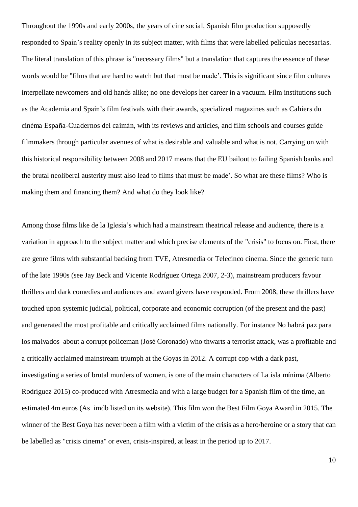Throughout the 1990s and early 2000s, the years of cine social, Spanish film production supposedly responded to Spain's reality openly in its subject matter, with films that were labelled películas necesarias. The literal translation of this phrase is "necessary films" but a translation that captures the essence of these words would be "films that are hard to watch but that must be made'. This is significant since film cultures interpellate newcomers and old hands alike; no one develops her career in a vacuum. Film institutions such as the Academia and Spain's film festivals with their awards, specialized magazines such as Cahiers du cinéma España-Cuadernos del caimán, with its reviews and articles, and film schools and courses guide filmmakers through particular avenues of what is desirable and valuable and what is not. Carrying on with this historical responsibility between 2008 and 2017 means that the EU bailout to failing Spanish banks and the brutal neoliberal austerity must also lead to films that must be made'. So what are these films? Who is making them and financing them? And what do they look like?

Among those films like de la Iglesia's which had a mainstream theatrical release and audience, there is a variation in approach to the subject matter and which precise elements of the "crisis" to focus on. First, there are genre films with substantial backing from TVE, Atresmedia or Telecinco cinema. Since the generic turn of the late 1990s (see Jay Beck and Vicente Rodríguez Ortega 2007, 2-3), mainstream producers favour thrillers and dark comedies and audiences and award givers have responded. From 2008, these thrillers have touched upon systemic judicial, political, corporate and economic corruption (of the present and the past) and generated the most profitable and critically acclaimed films nationally. For instance No habrá paz para los malvados about a corrupt policeman (José Coronado) who thwarts a terrorist attack, was a profitable and a critically acclaimed mainstream triumph at the Goyas in 2012. A corrupt cop with a dark past, investigating a series of brutal murders of women, is one of the main characters of La isla mínima (Alberto Rodríguez 2015) co-produced with Atresmedia and with a large budget for a Spanish film of the time, an estimated 4m euros (As imdb listed on its website). This film won the Best Film Goya Award in 2015. The winner of the Best Goya has never been a film with a victim of the crisis as a hero/heroine or a story that can be labelled as "crisis cinema" or even, crisis-inspired, at least in the period up to 2017.

10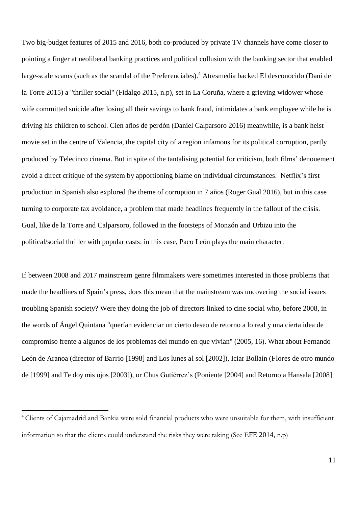Two big-budget features of 2015 and 2016, both co-produced by private TV channels have come closer to pointing a finger at neoliberal banking practices and political collusion with the banking sector that enabled large-scale scams (such as the scandal of the Preferenciales).<sup>4</sup> Atresmedia backed El desconocido (Dani de la Torre 2015) a "thriller social" (Fidalgo 2015, n.p), set in La Coruña, where a grieving widower whose wife committed suicide after losing all their savings to bank fraud, intimidates a bank employee while he is driving his children to school. Cien años de perdón (Daniel Calparsoro 2016) meanwhile, is a bank heist movie set in the centre of Valencia, the capital city of a region infamous for its political corruption, partly produced by Telecinco cinema. But in spite of the tantalising potential for criticism, both films' denouement avoid a direct critique of the system by apportioning blame on individual circumstances. Netflix's first production in Spanish also explored the theme of corruption in 7 años (Roger Gual 2016), but in this case turning to corporate tax avoidance, a problem that made headlines frequently in the fallout of the crisis. Gual, like de la Torre and Calparsoro, followed in the footsteps of Monzón and Urbizu into the political/social thriller with popular casts: in this case, Paco León plays the main character.

If between 2008 and 2017 mainstream genre filmmakers were sometimes interested in those problems that made the headlines of Spain's press, does this mean that the mainstream was uncovering the social issues troubling Spanish society? Were they doing the job of directors linked to cine social who, before 2008, in the words of Ángel Quintana "querían evidenciar un cierto deseo de retorno a lo real y una cierta idea de compromiso frente a algunos de los problemas del mundo en que vivían" (2005, 16). What about Fernando León de Aranoa (director of Barrio [1998] and Los lunes al sol [2002]), Iciar Bollaín (Flores de otro mundo de [1999] and Te doy mis ojos [2003]), or Chus Gutiérrez's (Poniente [2004] and Retorno a Hansala [2008]

<sup>4</sup> Clients of Cajamadrid and Bankia were sold financial products who were unsuitable for them, with insufficient information so that the clients could understand the risks they were taking (See EFE 2014, n.p)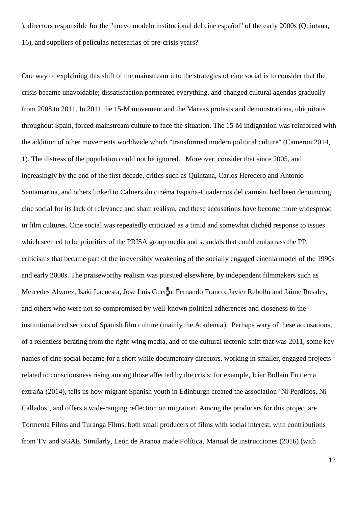), directors responsible for the "nuevo modelo institucional del cine español" of the early 2000s (Quintana, 16), and suppliers of películas necesarias of pre-crisis years?

One way of explaining this shift of the mainstream into the strategies of cine social is to consider that the crisis became unavoidable; dissatisfaction permeated everything, and changed cultural agendas gradually from 2008 to 2011. In 2011 the 15-M movement and the Mareas protests and demonstrations, ubiquitous throughout Spain, forced mainstream culture to face the situation. The 15-M indignation was reinforced with the addition of other movements worldwide which "transformed modern political culture" (Cameron 2014, 1). The distress of the population could not be ignored. Moreover, consider that since 2005, and increasingly by the end of the first decade, critics such as Quintana, Carlos Heredero and Antonio Santamarina, and others linked to Cahiers du cinéma España-Cuadernos del caimán, had been denouncing cine social for its lack of relevance and sham realism, and these accusations have become more widespread in film cultures. Cine social was repeatedly criticized as a timid and somewhat clichéd response to issues which seemed to be priorities of the PRISA group media and scandals that could embarrass the PP, criticisms that became part of the irreversibly weakening of the socially engaged cinema model of the 1990s and early 2000s. The praiseworthy realism was pursued elsewhere, by independent filmmakers such as Mercedes Álvarez, Isaki Lacuesta, Jose Luis Guer**I**n, Fernando Franco, Javier Rebollo and Jaime Rosales, and others who were not so compromised by well-known political adherences and closeness to the institutionalized sectors of Spanish film culture (mainly the Academia). Perhaps wary of these accusations, of a relentless berating from the right-wing media, and of the cultural tectonic shift that was 2011, some key names of cine social became for a short while documentary directors, working in smaller, engaged projects related to consciousness rising among those affected by the crisis: for example, Iciar Bollaín En tierra extraña (2014), tells us how migrant Spanish youth in Edinburgh created the association 'Ni Perdidos, Ni Callados*'*, and offers a wide-ranging reflection on migration. Among the producers for this project are Tormenta Films and Turanga Films, both small producers of films with social interest, with contributions from TV and SGAE. Similarly, León de Aranoa made Política, Manual de instrucciones (2016) (with

12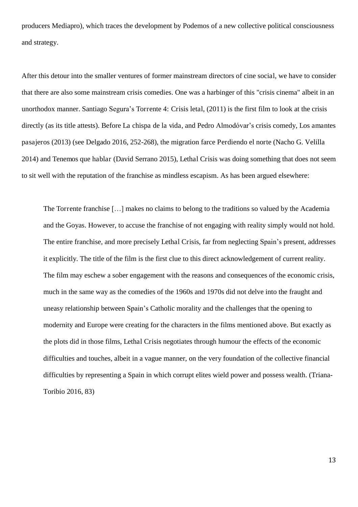producers Mediapro), which traces the development by Podemos of a new collective political consciousness and strategy.

After this detour into the smaller ventures of former mainstream directors of cine social, we have to consider that there are also some mainstream crisis comedies. One was a harbinger of this "crisis cinema" albeit in an unorthodox manner. Santiago Segura's Torrente 4: Crisis letal, (2011) is the first film to look at the crisis directly (as its title attests). Before La chispa de la vida, and Pedro Almodóvar's crisis comedy, Los amantes pasajeros (2013) (see Delgado 2016, 252-268), the migration farce Perdiendo el norte (Nacho G. Velilla 2014) and Tenemos que hablar (David Serrano 2015), Lethal Crisis was doing something that does not seem to sit well with the reputation of the franchise as mindless escapism. As has been argued elsewhere:

The Torrente franchise […] makes no claims to belong to the traditions so valued by the Academia and the Goyas. However, to accuse the franchise of not engaging with reality simply would not hold. The entire franchise, and more precisely Lethal Crisis, far from neglecting Spain's present, addresses it explicitly. The title of the film is the first clue to this direct acknowledgement of current reality. The film may eschew a sober engagement with the reasons and consequences of the economic crisis, much in the same way as the comedies of the 1960s and 1970s did not delve into the fraught and uneasy relationship between Spain's Catholic morality and the challenges that the opening to modernity and Europe were creating for the characters in the films mentioned above. But exactly as the plots did in those films, Lethal Crisis negotiates through humour the effects of the economic difficulties and touches, albeit in a vague manner, on the very foundation of the collective financial difficulties by representing a Spain in which corrupt elites wield power and possess wealth. (Triana-Toribio 2016, 83)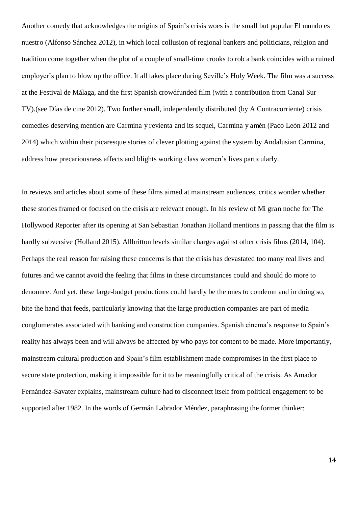Another comedy that acknowledges the origins of Spain's crisis woes is the small but popular El mundo es nuestro (Alfonso Sánchez 2012), in which local collusion of regional bankers and politicians, religion and tradition come together when the plot of a couple of small-time crooks to rob a bank coincides with a ruined employer's plan to blow up the office. It all takes place during Seville's Holy Week. The film was a success at the Festival de Málaga, and the first Spanish crowdfunded film (with a contribution from Canal Sur TV).(see Días de cine 2012). Two further small, independently distributed (by A Contracorriente) crisis comedies deserving mention are Carmina y revienta and its sequel, Carmina y amén (Paco León 2012 and 2014) which within their picaresque stories of clever plotting against the system by Andalusian Carmina, address how precariousness affects and blights working class women's lives particularly.

In reviews and articles about some of these films aimed at mainstream audiences, critics wonder whether these stories framed or focused on the crisis are relevant enough. In his review of Mi gran noche for The Hollywood Reporter after its opening at San Sebastian Jonathan Holland mentions in passing that the film is hardly subversive (Holland 2015). Allbritton levels similar charges against other crisis films (2014, 104). Perhaps the real reason for raising these concerns is that the crisis has devastated too many real lives and futures and we cannot avoid the feeling that films in these circumstances could and should do more to denounce. And yet, these large-budget productions could hardly be the ones to condemn and in doing so, bite the hand that feeds, particularly knowing that the large production companies are part of media conglomerates associated with banking and construction companies. Spanish cinema's response to Spain's reality has always been and will always be affected by who pays for content to be made. More importantly, mainstream cultural production and Spain's film establishment made compromises in the first place to secure state protection, making it impossible for it to be meaningfully critical of the crisis. As Amador Fernández-Savater explains, mainstream culture had to disconnect itself from political engagement to be supported after 1982. In the words of Germán Labrador Méndez, paraphrasing the former thinker:

14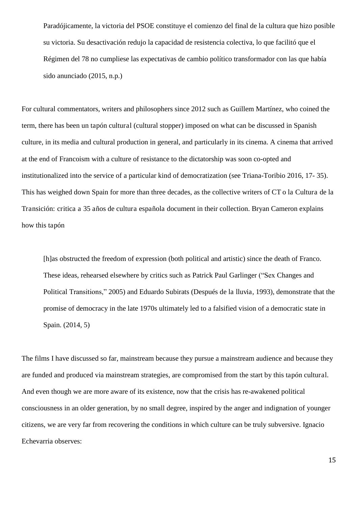Paradójicamente, la victoria del PSOE constituye el comienzo del final de la cultura que hizo posible su victoria. Su desactivación redujo la capacidad de resistencia colectiva, lo que facilitó que el Régimen del 78 no cumpliese las expectativas de cambio político transformador con las que había sido anunciado (2015, n.p.)

For cultural commentators, writers and philosophers since 2012 such as Guillem Martínez, who coined the term, there has been un tapón cultural (cultural stopper) imposed on what can be discussed in Spanish culture, in its media and cultural production in general, and particularly in its cinema. A cinema that arrived at the end of Francoism with a culture of resistance to the dictatorship was soon co-opted and institutionalized into the service of a particular kind of democratization (see Triana-Toribio 2016, 17- 35). This has weighed down Spain for more than three decades, as the collective writers of CT o la Cultura de la Transición: critica a 35 años de cultura española document in their collection. Bryan Cameron explains how this tapón

[h]as obstructed the freedom of expression (both political and artistic) since the death of Franco. These ideas, rehearsed elsewhere by critics such as Patrick Paul Garlinger ("Sex Changes and Political Transitions," 2005) and Eduardo Subirats (Después de la lluvia, 1993), demonstrate that the promise of democracy in the late 1970s ultimately led to a falsified vision of a democratic state in Spain. (2014, 5)

The films I have discussed so far, mainstream because they pursue a mainstream audience and because they are funded and produced via mainstream strategies, are compromised from the start by this tapón cultural. And even though we are more aware of its existence, now that the crisis has re-awakened political consciousness in an older generation, by no small degree, inspired by the anger and indignation of younger citizens, we are very far from recovering the conditions in which culture can be truly subversive. Ignacio Echevarria observes: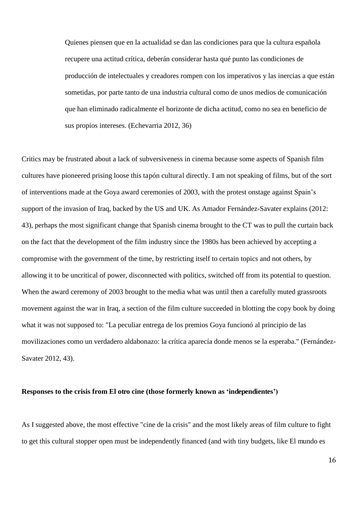Quienes piensen que en la actualidad se dan las condiciones para que la cultura española recupere una actitud crítica, deberán considerar hasta qué punto las condiciones de producción de intelectuales y creadores rompen con los imperativos y las inercias a que están sometidas, por parte tanto de una industria cultural como de unos medios de comunicación que han eliminado radicalmente el horizonte de dicha actitud, como no sea en beneficio de sus propios intereses. (Echevarria 2012, 36)

Critics may be frustrated about a lack of subversiveness in cinema because some aspects of Spanish film cultures have pioneered prising loose this tapón cultural directly. I am not speaking of films, but of the sort of interventions made at the Goya award ceremonies of 2003, with the protest onstage against Spain's support of the invasion of Iraq, backed by the US and UK. As Amador Fernández-Savater explains (2012: 43), perhaps the most significant change that Spanish cinema brought to the CT was to pull the curtain back on the fact that the development of the film industry since the 1980s has been achieved by accepting a compromise with the government of the time, by restricting itself to certain topics and not others, by allowing it to be uncritical of power, disconnected with politics, switched off from its potential to question. When the award ceremony of 2003 brought to the media what was until then a carefully muted grassroots movement against the war in Iraq, a section of the film culture succeeded in blotting the copy book by doing what it was not supposed to: "La peculiar entrega de los premios Goya funcionó al principio de las movilizaciones como un verdadero aldabonazo: la crítica aparecía donde menos se la esperaba." (Fernández-Savater 2012, 43).

#### **Responses to the crisis from El otro cine (those formerly known as 'independientes')**

As I suggested above, the most effective "cine de la crisis" and the most likely areas of film culture to fight to get this cultural stopper open must be independently financed (and with tiny budgets, like El mundo es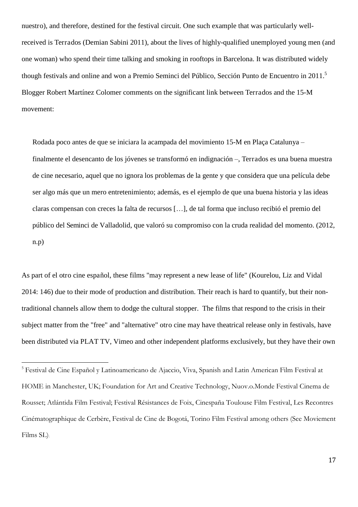nuestro), and therefore, destined for the festival circuit. One such example that was particularly wellreceived is Terrados (Demian Sabini 2011), about the lives of highly-qualified unemployed young men (and one woman) who spend their time talking and smoking in rooftops in Barcelona. It was distributed widely though festivals and online and won a Premio Seminci del Público, Sección Punto de Encuentro in 2011.<sup>5</sup> Blogger Robert Martínez Colomer comments on the significant link between Terrados and the 15-M movement:

Rodada poco antes de que se iniciara la acampada del movimiento 15-M en Plaça Catalunya – finalmente el desencanto de los jóvenes se transformó en indignación –, Terrados es una buena muestra de cine necesario, aquel que no ignora los problemas de la gente y que considera que una película debe ser algo más que un mero entretenimiento; además, es el ejemplo de que una buena historia y las ideas claras compensan con creces la falta de recursos […], de tal forma que incluso recibió el premio del público del Seminci de Valladolid, que valoró su compromiso con la cruda realidad del momento. (2012, n.p)

As part of el otro cine español, these films "may represent a new lease of life" (Kourelou, Liz and Vidal 2014: 146) due to their mode of production and distribution. Their reach is hard to quantify, but their nontraditional channels allow them to dodge the cultural stopper. The films that respond to the crisis in their subject matter from the "free" and "alternative" otro cine may have theatrical release only in festivals, have been distributed via PLAT TV, Vimeo and other independent platforms exclusively, but they have their own

<sup>&</sup>lt;sup>5</sup> Festival de Cine Español y Latinoamericano de Ajaccio, Viva, Spanish and Latin American Film Festival at HOME in Manchester, UK; Foundation for Art and Creative Technology, Nuov.o.Monde Festival Cinema de Rousset; Atlántida Film Festival; Festival Résistances de Foix, Cinespaña Toulouse Film Festival, Les Recontres Cinématographique de Cerbère, Festival de Cine de Bogotá, Torino Film Festival among others (See Moviement Films SL);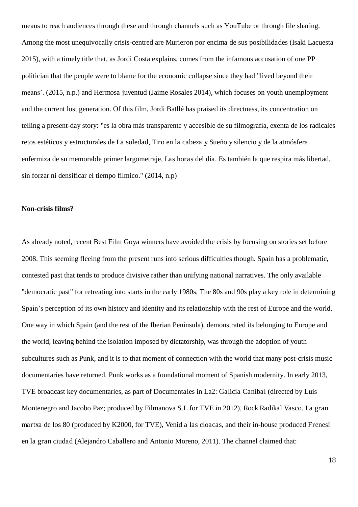means to reach audiences through these and through channels such as YouTube or through file sharing. Among the most unequivocally crisis-centred are Murieron por encima de sus posibilidades (Isaki Lacuesta 2015), with a timely title that, as Jordi Costa explains, comes from the infamous accusation of one PP politician that the people were to blame for the economic collapse since they had "lived beyond their means'. (2015, n.p.) and Hermosa juventud (Jaime Rosales 2014), which focuses on youth unemployment and the current lost generation. Of this film, Jordi Batllé has praised its directness, its concentration on telling a present-day story: "es la obra más transparente y accesible de su filmografía, exenta de los radicales retos estéticos y estructurales de La soledad, Tiro en la cabeza y Sueño y silencio y de la atmósfera enfermiza de su memorable primer largometraje, Las horas del día. Es también la que respira más libertad, sin forzar ni densificar el tiempo fílmico." (2014, n.p)

#### **Non-crisis films?**

As already noted, recent Best Film Goya winners have avoided the crisis by focusing on stories set before 2008. This seeming fleeing from the present runs into serious difficulties though. Spain has a problematic, contested past that tends to produce divisive rather than unifying national narratives. The only available "democratic past" for retreating into starts in the early 1980s. The 80s and 90s play a key role in determining Spain's perception of its own history and identity and its relationship with the rest of Europe and the world. One way in which Spain (and the rest of the Iberian Peninsula), demonstrated its belonging to Europe and the world, leaving behind the isolation imposed by dictatorship, was through the adoption of youth subcultures such as Punk, and it is to that moment of connection with the world that many post-crisis music documentaries have returned. Punk works as a foundational moment of Spanish modernity. In early 2013, TVE broadcast key documentaries, as part of Documentales in La2: Galicia Caníbal (directed by Luis Montenegro and Jacobo Paz; produced by Filmanova S.L for TVE in 2012), Rock Radikal Vasco. La gran martxa de los 80 (produced by K2000, for TVE), Venid a las cloacas, and their in-house produced Frenesí en la gran ciudad (Alejandro Caballero and Antonio Moreno, 2011). The channel claimed that:

18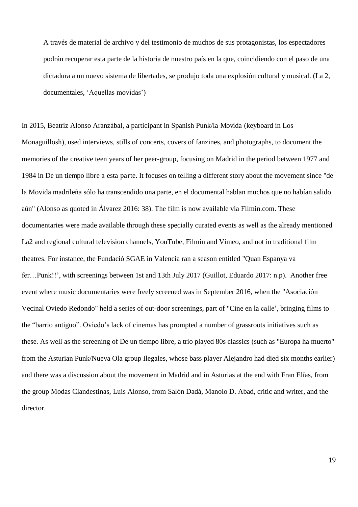A través de material de archivo y del testimonio de muchos de sus protagonistas, los espectadores podrán recuperar esta parte de la historia de nuestro país en la que, coincidiendo con el paso de una dictadura a un nuevo sistema de libertades, se produjo toda una explosión cultural y musical. (La 2, documentales, 'Aquellas movidas')

In 2015, Beatriz Alonso Aranzábal, a participant in Spanish Punk/la Movida (keyboard in Los Monaguillosh), used interviews, stills of concerts, covers of fanzines, and photographs, to document the memories of the creative teen years of her peer-group, focusing on Madrid in the period between 1977 and 1984 in De un tiempo libre a esta parte. It focuses on telling a different story about the movement since "de la Movida madrileña sólo ha transcendido una parte, en el documental hablan muchos que no habían salido aún" (Alonso as quoted in Álvarez 2016: 38). The film is now available via Filmin.com. These documentaries were made available through these specially curated events as well as the already mentioned La2 and regional cultural television channels, YouTube, Filmin and Vimeo, and not in traditional film theatres. For instance, the Fundació SGAE in Valencia ran a season entitled "Quan Espanya va fer…Punk!!', with screenings between 1st and 13th July 2017 (Guillot, Eduardo 2017: n.p). Another free event where music documentaries were freely screened was in September 2016, when the "Asociación Vecinal Oviedo Redondo" held a series of out-door screenings, part of "Cine en la calle', bringing films to the "barrio antiguo". Oviedo's lack of cinemas has prompted a number of grassroots initiatives such as these. As well as the screening of De un tiempo libre, a trio played 80s classics (such as "Europa ha muerto" from the Asturian Punk/Nueva Ola group Ilegales, whose bass player Alejandro had died six months earlier) and there was a discussion about the movement in Madrid and in Asturias at the end with Fran Elías, from the group Modas Clandestinas, Luis Alonso, from Salón Dadá, Manolo D. Abad, critic and writer, and the director.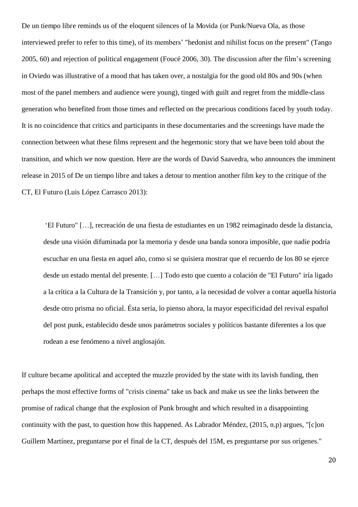De un tiempo libre reminds us of the eloquent silences of la Movida (or Punk/Nueva Ola, as those interviewed prefer to refer to this time), of its members' "hedonist and nihilist focus on the present" (Tango 2005, 60) and rejection of political engagement (Foucé 2006, 30). The discussion after the film's screening in Oviedo was illustrative of a mood that has taken over, a nostalgia for the good old 80s and 90s (when most of the panel members and audience were young), tinged with guilt and regret from the middle-class generation who benefited from those times and reflected on the precarious conditions faced by youth today. It is no coincidence that critics and participants in these documentaries and the screenings have made the connection between what these films represent and the hegemonic story that we have been told about the transition, and which we now question. Here are the words of David Saavedra, who announces the imminent release in 2015 of De un tiempo libre and takes a detour to mention another film key to the critique of the CT, El Futuro (Luis López Carrasco 2013):

'El Futuro" […], recreación de una fiesta de estudiantes en un 1982 reimaginado desde la distancia, desde una visión difuminada por la memoria y desde una banda sonora imposible, que nadie podría escuchar en una fiesta en aquel año, como si se quisiera mostrar que el recuerdo de los 80 se ejerce desde un estado mental del presente. […] Todo esto que cuento a colación de "El Futuro" iría ligado a la crítica a la Cultura de la Transición y, por tanto, a la necesidad de volver a contar aquella historia desde otro prisma no oficial. Ésta sería, lo pienso ahora, la mayor especificidad del revival español del post punk, establecido desde unos parámetros sociales y políticos bastante diferentes a los que rodean a ese fenómeno a nivel anglosajón.

If culture became apolitical and accepted the muzzle provided by the state with its lavish funding, then perhaps the most effective forms of "crisis cinema" take us back and make us see the links between the promise of radical change that the explosion of Punk brought and which resulted in a disappointing continuity with the past, to question how this happened. As Labrador Méndez, (2015, n.p) argues, "[c]on Guillem Martínez, preguntarse por el final de la CT, después del 15M, es preguntarse por sus orígenes."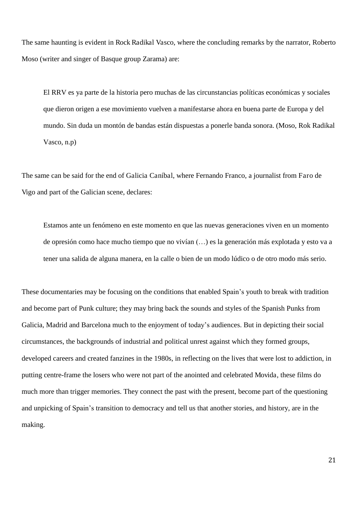The same haunting is evident in Rock Radikal Vasco, where the concluding remarks by the narrator, Roberto Moso (writer and singer of Basque group Zarama) are:

El RRV es ya parte de la historia pero muchas de las circunstancias políticas económicas y sociales que dieron origen a ese movimiento vuelven a manifestarse ahora en buena parte de Europa y del mundo. Sin duda un montón de bandas están dispuestas a ponerle banda sonora. (Moso, Rok Radikal Vasco, n.p)

The same can be said for the end of Galicia Caníbal, where Fernando Franco, a journalist from Faro de Vigo and part of the Galician scene, declares:

Estamos ante un fenómeno en este momento en que las nuevas generaciones viven en un momento de opresión como hace mucho tiempo que no vivían (…) es la generación más explotada y esto va a tener una salida de alguna manera, en la calle o bien de un modo lúdico o de otro modo más serio.

These documentaries may be focusing on the conditions that enabled Spain's youth to break with tradition and become part of Punk culture; they may bring back the sounds and styles of the Spanish Punks from Galicia, Madrid and Barcelona much to the enjoyment of today's audiences. But in depicting their social circumstances, the backgrounds of industrial and political unrest against which they formed groups, developed careers and created fanzines in the 1980s, in reflecting on the lives that were lost to addiction, in putting centre-frame the losers who were not part of the anointed and celebrated Movida, these films do much more than trigger memories. They connect the past with the present, become part of the questioning and unpicking of Spain's transition to democracy and tell us that another stories, and history, are in the making.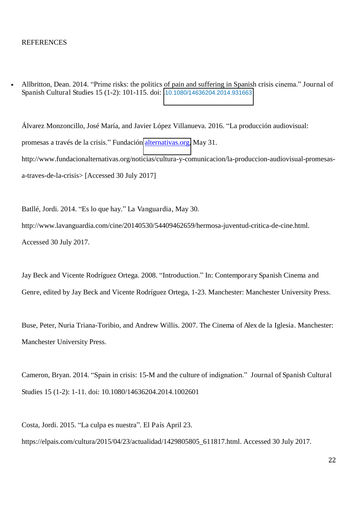#### **REFERENCES**

 Allbritton, Dean. 2014. "Prime risks: the politics of pain and suffering in Spanish crisis cinema." Journal of Spanish Cultural Studies 15 (1-2): 101-115. doi: .[10.1080/14636204.2014.931663](https://doi.org/10.1080/14636204.2014.931663)

Álvarez Monzoncillo, José María, and Javier López Villanueva. 2016. "La producción audiovisual: promesas a través de la crisis." Fundación [alternativas.org,](http://alternativas.org/) May 31. http://www.fundacionalternativas.org/noticias/cultura-y-comunicacion/la-produccion-audiovisual-promesasa-traves-de-la-crisis> [Accessed 30 July 2017]

Batllé, Jordi. 2014. "Es lo que hay." La Vanguardia, May 30.

http://www.lavanguardia.com/cine/20140530/54409462659/hermosa-juventud-critica-de-cine.html. Accessed 30 July 2017.

Jay Beck and Vicente Rodríguez Ortega. 2008. "Introduction." In: Contemporary Spanish Cinema and Genre, edited by Jay Beck and Vicente Rodríguez Ortega, 1-23. Manchester: Manchester University Press.

Buse, Peter, Nuria Triana-Toribio, and Andrew Willis. 2007. The Cinema of Alex de la Iglesia. Manchester: Manchester University Press.

Cameron, Bryan. 2014. "Spain in crisis: 15-M and the culture of indignation." Journal of Spanish Cultural Studies 15 (1-2): 1-11. doi: 10.1080/14636204.2014.1002601

Costa, Jordi. 2015. "La culpa es nuestra". El País April 23. https://elpais.com/cultura/2015/04/23/actualidad/1429805805\_611817.html. Accessed 30 July 2017.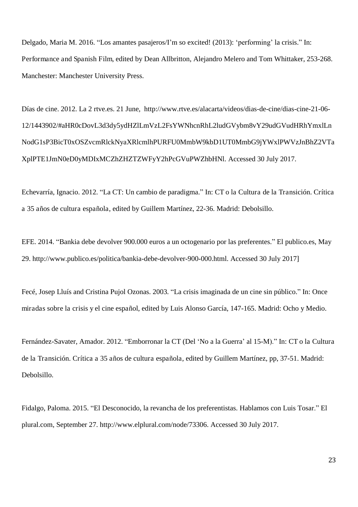Delgado, Maria M. 2016. "Los amantes pasajeros/I'm so excited! (2013): 'performing' la crisis." In: Performance and Spanish Film, edited by Dean Allbritton, Alejandro Melero and Tom Whittaker, 253-268. Manchester: Manchester University Press.

Días de cine. 2012. La 2 rtve.es. 21 June, http://www.rtve.es/alacarta/videos/dias-de-cine/dias-cine-21-06- 12/1443902/#aHR0cDovL3d3dy5ydHZlLmVzL2FsYWNhcnRhL2ludGVybm8vY29udGVudHRhYmxlLn NodG1sP3BicT0xOSZvcmRlckNyaXRlcmlhPURFU0MmbW9kbD1UT0MmbG9jYWxlPWVzJnBhZ2VTa XplPTE1JmN0eD0yMDIxMCZhZHZTZWFyY2hPcGVuPWZhbHNl. Accessed 30 July 2017.

Echevarría, Ignacio. 2012. "La CT: Un cambio de paradigma." In: CT o la Cultura de la Transición. Crítica a 35 años de cultura española, edited by Guillem Martínez, 22-36. Madrid: Debolsillo.

EFE. 2014. "Bankia debe devolver 900.000 euros a un octogenario por las preferentes." El publico.es, May 29. http://www.publico.es/politica/bankia-debe-devolver-900-000.html. Accessed 30 July 2017]

Fecé, Josep Lluís and Cristina Pujol Ozonas. 2003. "La crisis imaginada de un cine sin público." In: Once miradas sobre la crisis y el cine español, edited by Luis Alonso García, 147-165. Madrid: Ocho y Medio.

Fernández-Savater, Amador. 2012. "Emborronar la CT (Del 'No a la Guerra' al 15-M)." In: CT o la Cultura de la Transición. Crítica a 35 años de cultura española, edited by Guillem Martínez, pp, 37-51. Madrid: Debolsillo.

Fidalgo, Paloma. 2015. "El Desconocido, la revancha de los preferentistas. Hablamos con Luis Tosar." El plural.com, September 27. http://www.elplural.com/node/73306. Accessed 30 July 2017.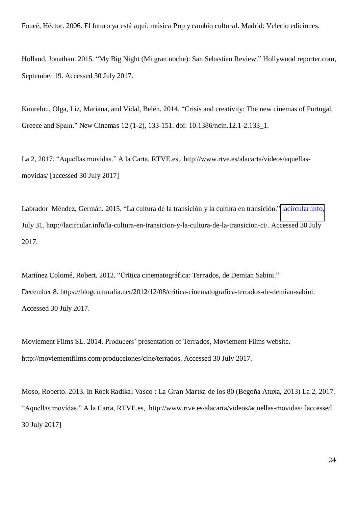Foucé, Héctor. 2006. El futuro ya está aquí: música Pop y cambio cultural. Madrid: Velecio ediciones.

Holland, Jonathan. 2015. "My Big Night (Mi gran noche): San Sebastian Review." Hollywood reporter.com, September 19. Accessed 30 July 2017.

Kourelou, Olga, Liz, Mariana, and Vidal, Belén. 2014. "Crisis and creativity: The new cinemas of Portugal, Greece and Spain." New Cinemas 12 (1-2), 133-151. doi: 10.1386/ncin.12.1-2.133\_1.

La 2, 2017. "Aquellas movidas." A la Carta, RTVE.es,. http://www.rtve.es/alacarta/videos/aquellasmovidas/ [accessed 30 July 2017]

Labrador Méndez, Germán. 2015. "La cultura de la transición y la cultura en transición." [lacircular.info,](http://lacircular.info/) July 31. http://lacircular.info/la-cultura-en-transicion-y-la-cultura-de-la-transicion-ct/. Accessed 30 July 2017.

Martínez Colomé, Robert. 2012. "Crítica cinematográfica: Terrados, de Demian Sabini." December 8. https://blogculturalia.net/2012/12/08/critica-cinematografica-terrados-de-demian-sabini. Accessed 30 July 2017.

Moviement Films SL. 2014. Producers' presentation of Terrados, Moviement Films website. http://moviementfilms.com/producciones/cine/terrados. Accessed 30 July 2017.

Moso, Roberto. 2013. In Rock Radikal Vasco : La Gran Martxa de los 80 (Begoña Atuxa, 2013) La 2, 2017. "Aquellas movidas." A la Carta, RTVE.es,. http://www.rtve.es/alacarta/videos/aquellas-movidas/ [accessed 30 July 2017]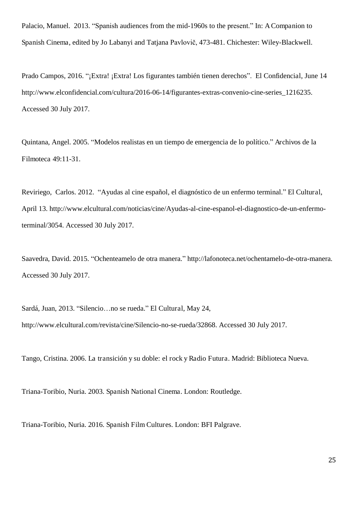Palacio, Manuel. 2013. "Spanish audiences from the mid-1960s to the present." In: A Companion to Spanish Cinema, edited by Jo Labanyi and Tatjana Pavlovič, 473-481. Chichester: Wiley-Blackwell.

Prado Campos, 2016. "¡Extra! ¡Extra! Los figurantes también tienen derechos". El Confidencial, June 14 http://www.elconfidencial.com/cultura/2016-06-14/figurantes-extras-convenio-cine-series\_1216235. Accessed 30 July 2017.

Quintana, Angel. 2005. "Modelos realistas en un tiempo de emergencia de lo político." Archivos de la Filmoteca 49:11-31.

Reviriego, Carlos. 2012. "Ayudas al cine español, el diagnóstico de un enfermo terminal." El Cultural, April 13. http://www.elcultural.com/noticias/cine/Ayudas-al-cine-espanol-el-diagnostico-de-un-enfermoterminal/3054. Accessed 30 July 2017.

Saavedra, David. 2015. "Ochenteamelo de otra manera." http://lafonoteca.net/ochentamelo-de-otra-manera. Accessed 30 July 2017.

Sardá, Juan, 2013. "Silencio…no se rueda." El Cultural, May 24, http://www.elcultural.com/revista/cine/Silencio-no-se-rueda/32868. Accessed 30 July 2017.

Tango, Cristina. 2006. La transición y su doble: el rock y Radio Futura. Madrid: Biblioteca Nueva.

Triana-Toribio, Nuria. 2003. Spanish National Cinema. London: Routledge.

Triana-Toribio, Nuria. 2016. Spanish Film Cultures. London: BFI Palgrave.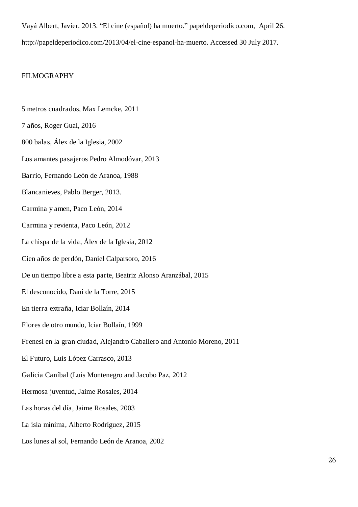Vayá Albert, Javier. 2013. "El cine (español) ha muerto." papeldeperiodico.com, April 26. http://papeldeperiodico.com/2013/04/el-cine-espanol-ha-muerto. Accessed 30 July 2017.

## FILMOGRAPHY

5 metros cuadrados, Max Lemcke, 2011 7 años, Roger Gual, 2016 800 balas, Álex de la Iglesia, 2002 Los amantes pasajeros Pedro Almodóvar, 2013 Barrio, Fernando León de Aranoa, 1988 Blancanieves, Pablo Berger, 2013. Carmina y amen, Paco León, 2014 Carmina y revienta, Paco León, 2012 La chispa de la vida, Álex de la Iglesia, 2012 Cien años de perdón, Daniel Calparsoro, 2016 De un tiempo libre a esta parte, Beatriz Alonso Aranzábal, 2015 El desconocido, Dani de la Torre, 2015 En tierra extraña, Iciar Bollaín, 2014 Flores de otro mundo, Iciar Bollaín, 1999 Frenesí en la gran ciudad, Alejandro Caballero and Antonio Moreno, 2011 El Futuro, Luis López Carrasco, 2013 Galicia Caníbal (Luis Montenegro and Jacobo Paz, 2012 Hermosa juventud, Jaime Rosales, 2014 Las horas del día, Jaime Rosales, 2003 La isla mínima, Alberto Rodríguez, 2015 Los lunes al sol, Fernando León de Aranoa, 2002